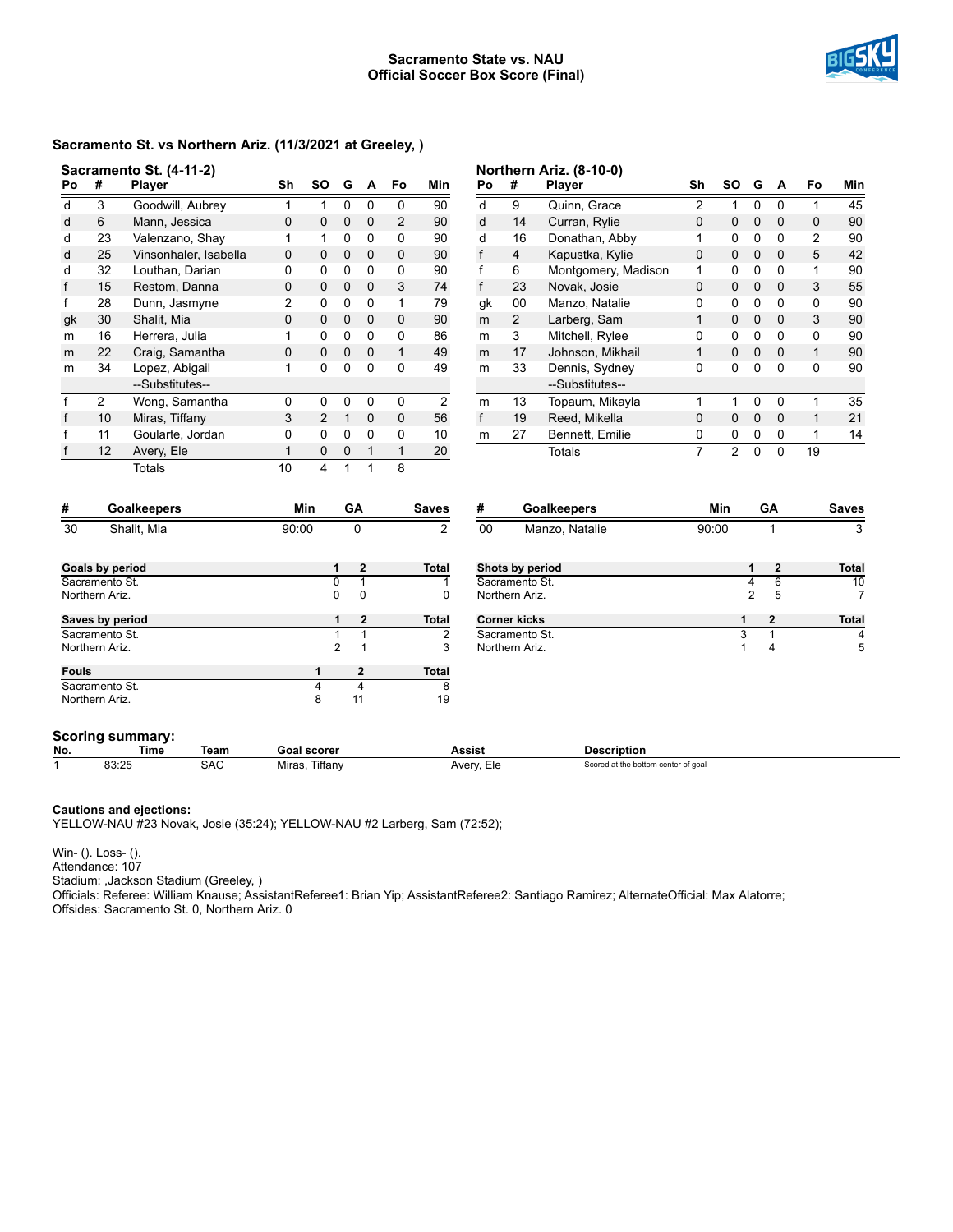#### **Sacramento State vs. NAU Official Soccer Box Score (Final)**



## **Sacramento St. vs Northern Ariz. (11/3/2021 at Greeley, )**

|                                   |                 | Sacramento St. (4-11-2) |              |                         |                |                         |                |                |              |                     | Northern Ariz. (8-10-0)             |                |                |                |                         |                |              |
|-----------------------------------|-----------------|-------------------------|--------------|-------------------------|----------------|-------------------------|----------------|----------------|--------------|---------------------|-------------------------------------|----------------|----------------|----------------|-------------------------|----------------|--------------|
| Po                                | #               | Player                  | Sh           | <b>SO</b>               | G              | A                       | Fo             | Min            | Po           | #                   | Player                              | Sh             | <b>SO</b>      | G              | A                       | Fo             | Min          |
| d                                 | 3               | Goodwill, Aubrey        | $\mathbf{1}$ | $\mathbf{1}$            | 0              | 0                       | 0              | 90             | d            | 9                   | Quinn, Grace                        | 2              | $\mathbf{1}$   | 0              | $\mathbf 0$             | $\mathbf{1}$   | 45           |
| d                                 | 6               | Mann, Jessica           | 0            | 0                       | $\mathbf 0$    | 0                       | $\overline{2}$ | 90             | d            | 14                  | Curran, Rylie                       | 0              | 0              | $\mathbf 0$    | $\mathbf 0$             | 0              | 90           |
| d                                 | 23              | Valenzano, Shay         | 1            | 1                       | 0              | 0                       | 0              | 90             | d            | 16                  | Donathan, Abby                      | 1              | 0              | 0              | 0                       | $\overline{2}$ | 90           |
| d                                 | 25              | Vinsonhaler, Isabella   | $\mathbf 0$  | 0                       | 0              | $\mathbf 0$             | $\mathbf{0}$   | 90             | $\mathsf{f}$ | $\overline{4}$      | Kapustka, Kylie                     | $\Omega$       | $\mathbf 0$    | 0              | $\mathbf 0$             | 5              | 42           |
| d                                 | 32              | Louthan, Darian         | 0            | 0                       | 0              | 0                       | $\Omega$       | 90             | $\mathsf{f}$ | 6                   | Montgomery, Madison                 | 1              | 0              | 0              | $\mathbf{0}$            | 1              | 90           |
| f                                 | 15              | Restom, Danna           | 0            | 0                       | 0              | $\mathbf 0$             | 3              | 74             | $\mathsf{f}$ | 23                  | Novak, Josie                        | $\Omega$       | $\mathsf 0$    | $\mathbf 0$    | $\mathbf 0$             | 3              | 55           |
| f                                 | 28              | Dunn, Jasmyne           | 2            | 0                       | 0              | 0                       | $\mathbf{1}$   | 79             | gk           | 00                  | Manzo, Natalie                      | 0              | 0              | 0              | $\mathbf{0}$            | 0              | 90           |
| gk                                | 30              | Shalit, Mia             | 0            | 0                       | 0              | $\mathbf 0$             | $\mathbf 0$    | 90             | m            | $\overline{2}$      | Larberg, Sam                        | 1              | $\mathbf 0$    | 0              | $\mathbf 0$             | 3              | 90           |
| m                                 | 16              | Herrera, Julia          | 1            | 0                       | 0              | 0                       | 0              | 86             | m            | 3                   | Mitchell, Rylee                     | 0              | 0              | 0              | 0                       | 0              | 90           |
| m                                 | 22              | Craig, Samantha         | $\mathbf 0$  | 0                       | 0              | $\mathbf 0$             | $\mathbf{1}$   | 49             | m            | 17                  | Johnson, Mikhail                    | $\mathbf{1}$   | $\mathbf 0$    | 0              | $\mathbf 0$             | $\mathbf{1}$   | 90           |
| m                                 | 34              | Lopez, Abigail          | 1            | 0                       | 0              | $\Omega$                | $\Omega$       | 49             | m            | 33                  | Dennis, Sydney                      | 0              | 0              | 0              | $\Omega$                | 0              | 90           |
|                                   |                 | --Substitutes--         |              |                         |                |                         |                |                |              |                     | --Substitutes--                     |                |                |                |                         |                |              |
| f                                 | $\overline{2}$  | Wong, Samantha          | 0            | 0                       | 0              | 0                       | $\mathbf 0$    | 2              | m            | 13                  | Topaum, Mikayla                     | 1              | $\mathbf{1}$   | 0              | 0                       | $\mathbf{1}$   | 35           |
| f                                 | 10              | Miras, Tiffany          | 3            | $\overline{2}$          | $\mathbf{1}$   | $\mathbf 0$             | $\mathbf 0$    | 56             | $\mathsf{f}$ | 19                  | Reed, Mikella                       | $\mathbf 0$    | $\mathbf 0$    | $\mathbf 0$    | $\mathbf 0$             | 1              | 21           |
| f                                 | 11              | Goularte, Jordan        | 0            | 0                       | 0              | 0                       | $\Omega$       | 10             | m            | 27                  | Bennett, Emilie                     | 0              | 0              | 0              | 0                       | $\mathbf{1}$   | 14           |
|                                   | 12              | Avery, Ele              | 1            | 0                       | 0              | 1                       | $\mathbf{1}$   | 20             |              |                     | Totals                              | $\overline{7}$ | $\overline{2}$ | $\mathbf{0}$   | $\Omega$                | 19             |              |
|                                   |                 | <b>Totals</b>           | 10           | $\overline{\mathbf{4}}$ | $\mathbf{1}$   | 1                       | 8              |                |              |                     |                                     |                |                |                |                         |                |              |
| #                                 |                 | <b>Goalkeepers</b>      |              | Min                     |                | GA                      |                | <b>Saves</b>   |              | #<br>Goalkeepers    |                                     | Min            |                | GA             |                         |                | <b>Saves</b> |
| 30                                |                 | Shalit, Mia             | 90:00        |                         |                | $\Omega$                |                | $\overline{2}$ | 00           |                     | Manzo, Natalie                      |                | 90:00          |                | 1                       |                | 3            |
|                                   |                 |                         |              |                         | 1              | $\overline{\mathbf{2}}$ |                | <b>Total</b>   |              | Shots by period     |                                     |                |                | 1              | $\overline{\mathbf{2}}$ |                | <b>Total</b> |
| Goals by period<br>Sacramento St. |                 |                         |              |                         | $\overline{0}$ | $\overline{1}$          |                | 1              |              | Sacramento St.      |                                     |                |                | 4              | $\overline{6}$          |                | 10           |
|                                   | Northern Ariz.  |                         |              |                         | 0              | $\mathbf 0$             |                | 0              |              | Northern Ariz.      |                                     |                |                | $\overline{2}$ | 5                       |                | 7            |
|                                   | Saves by period |                         |              |                         | 1              | $\mathbf{2}$            |                | Total          |              | <b>Corner kicks</b> |                                     |                | 1              |                | $\overline{\mathbf{2}}$ |                | <b>Total</b> |
| Sacramento St.                    |                 |                         |              |                         | $\mathbf{1}$   | $\mathbf{1}$            |                | 2              |              | Sacramento St.      |                                     |                | 3              |                | 1                       |                | 4            |
|                                   | Northern Ariz.  |                         |              |                         | $\overline{c}$ | $\mathbf{1}$            |                | 3              |              | Northern Ariz.      |                                     |                | 1              |                | $\overline{\mathbf{4}}$ |                | 5            |
| <b>Fouls</b>                      |                 |                         |              | 1                       |                | $\overline{\mathbf{2}}$ |                | <b>Total</b>   |              |                     |                                     |                |                |                |                         |                |              |
|                                   | Sacramento St.  |                         |              | $\overline{\mathbf{4}}$ |                | $\overline{4}$          |                | 8              |              |                     |                                     |                |                |                |                         |                |              |
|                                   | Northern Ariz.  |                         |              | 8                       |                | 11                      |                | 19             |              |                     |                                     |                |                |                |                         |                |              |
|                                   |                 | <b>Scoring summary:</b> |              |                         |                |                         |                |                |              |                     |                                     |                |                |                |                         |                |              |
| No.                               |                 | Time<br>Team            |              | <b>Goal scorer</b>      |                |                         |                |                | Assist       |                     | <b>Description</b>                  |                |                |                |                         |                |              |
| 1                                 | 83:25           | <b>SAC</b>              |              | Miras, Tiffany          |                |                         |                |                | Avery, Ele   |                     | Scored at the bottom center of goal |                |                |                |                         |                |              |

#### **Cautions and ejections:**

YELLOW-NAU #23 Novak, Josie (35:24); YELLOW-NAU #2 Larberg, Sam (72:52);

Win- (). Loss- ().

Attendance: 107

Stadium: ,Jackson Stadium (Greeley, )

Officials: Referee: William Knause; AssistantReferee1: Brian Yip; AssistantReferee2: Santiago Ramirez; AlternateOfficial: Max Alatorre; Offsides: Sacramento St. 0, Northern Ariz. 0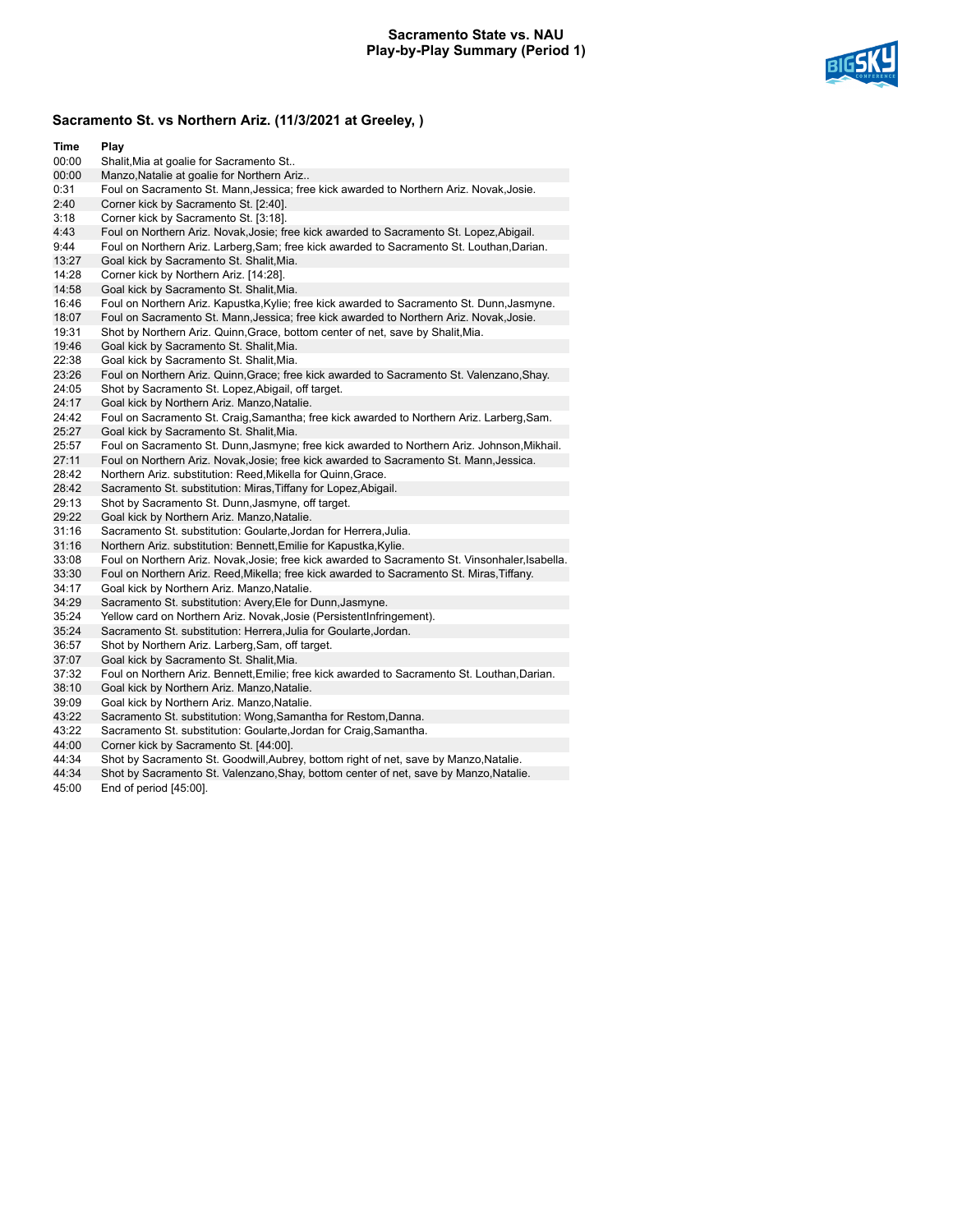### **Sacramento State vs. NAU Play-by-Play Summary (Period 1)**



# **Sacramento St. vs Northern Ariz. (11/3/2021 at Greeley, )**

| Time  | Play                                                                                            |
|-------|-------------------------------------------------------------------------------------------------|
| 00:00 | Shalit, Mia at goalie for Sacramento St                                                         |
| 00:00 | Manzo, Natalie at goalie for Northern Ariz                                                      |
| 0:31  | Foul on Sacramento St. Mann, Jessica; free kick awarded to Northern Ariz. Novak, Josie.         |
| 2:40  | Corner kick by Sacramento St. [2:40].                                                           |
| 3:18  | Corner kick by Sacramento St. [3:18].                                                           |
| 4:43  | Foul on Northern Ariz. Novak, Josie; free kick awarded to Sacramento St. Lopez, Abigail.        |
| 9:44  | Foul on Northern Ariz. Larberg, Sam; free kick awarded to Sacramento St. Louthan, Darian.       |
| 13:27 | Goal kick by Sacramento St. Shalit, Mia.                                                        |
| 14:28 | Corner kick by Northern Ariz. [14:28].                                                          |
| 14:58 | Goal kick by Sacramento St. Shalit, Mia.                                                        |
| 16:46 | Foul on Northern Ariz. Kapustka, Kylie; free kick awarded to Sacramento St. Dunn, Jasmyne.      |
| 18:07 | Foul on Sacramento St. Mann, Jessica; free kick awarded to Northern Ariz. Novak, Josie.         |
| 19:31 | Shot by Northern Ariz. Quinn, Grace, bottom center of net, save by Shalit, Mia.                 |
| 19:46 | Goal kick by Sacramento St. Shalit, Mia.                                                        |
| 22:38 | Goal kick by Sacramento St. Shalit, Mia.                                                        |
| 23:26 | Foul on Northern Ariz. Quinn, Grace; free kick awarded to Sacramento St. Valenzano, Shay.       |
| 24:05 | Shot by Sacramento St. Lopez, Abigail, off target.                                              |
| 24:17 | Goal kick by Northern Ariz. Manzo, Natalie.                                                     |
| 24:42 | Foul on Sacramento St. Craig, Samantha; free kick awarded to Northern Ariz. Larberg, Sam.       |
| 25:27 | Goal kick by Sacramento St. Shalit, Mia.                                                        |
| 25:57 | Foul on Sacramento St. Dunn, Jasmyne; free kick awarded to Northern Ariz. Johnson, Mikhail.     |
| 27:11 | Foul on Northern Ariz. Novak, Josie; free kick awarded to Sacramento St. Mann, Jessica.         |
| 28:42 | Northern Ariz. substitution: Reed, Mikella for Quinn, Grace.                                    |
| 28:42 | Sacramento St. substitution: Miras, Tiffany for Lopez, Abigail.                                 |
| 29:13 | Shot by Sacramento St. Dunn, Jasmyne, off target.                                               |
| 29:22 | Goal kick by Northern Ariz. Manzo, Natalie.                                                     |
| 31:16 | Sacramento St. substitution: Goularte, Jordan for Herrera, Julia.                               |
| 31:16 | Northern Ariz. substitution: Bennett, Emilie for Kapustka, Kylie.                               |
| 33:08 | Foul on Northern Ariz. Novak, Josie; free kick awarded to Sacramento St. Vinsonhaler, Isabella. |
| 33:30 | Foul on Northern Ariz. Reed, Mikella; free kick awarded to Sacramento St. Miras, Tiffany.       |
| 34:17 | Goal kick by Northern Ariz. Manzo, Natalie.                                                     |
| 34:29 | Sacramento St. substitution: Avery, Ele for Dunn, Jasmyne.                                      |
| 35:24 | Yellow card on Northern Ariz. Novak, Josie (PersistentInfringement).                            |
| 35:24 | Sacramento St. substitution: Herrera, Julia for Goularte, Jordan.                               |
| 36:57 | Shot by Northern Ariz. Larberg, Sam, off target.                                                |
| 37:07 | Goal kick by Sacramento St. Shalit, Mia.                                                        |
| 37:32 | Foul on Northern Ariz. Bennett, Emilie; free kick awarded to Sacramento St. Louthan, Darian.    |
| 38:10 | Goal kick by Northern Ariz. Manzo, Natalie.                                                     |
| 39:09 | Goal kick by Northern Ariz. Manzo, Natalie.                                                     |
| 43:22 | Sacramento St. substitution: Wong, Samantha for Restom, Danna.                                  |
| 43:22 | Sacramento St. substitution: Goularte, Jordan for Craig, Samantha.                              |
| 44:00 | Corner kick by Sacramento St. [44:00].                                                          |

- 
- 44:34 Shot by Sacramento St. Goodwill,Aubrey, bottom right of net, save by Manzo,Natalie.<br>44:34 Shot by Sacramento St. Valenzano,Shay, bottom center of net, save by Manzo,Natali Shot by Sacramento St. Valenzano, Shay, bottom center of net, save by Manzo, Natalie.
- 45:00 End of period [45:00].